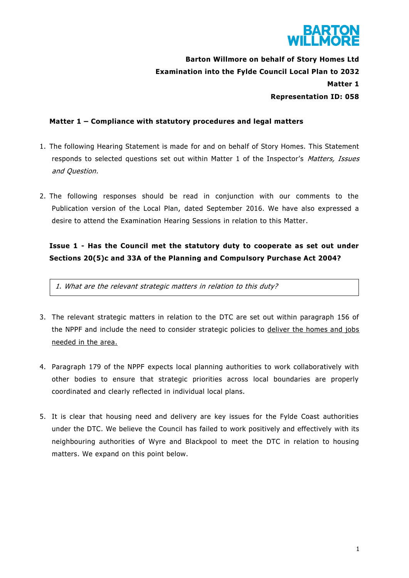

**Barton Willmore on behalf of Story Homes Ltd Examination into the Fylde Council Local Plan to 2032 Matter 1 Representation ID: 058**

### **Matter 1 – Compliance with statutory procedures and legal matters**

- 1. The following Hearing Statement is made for and on behalf of Story Homes. This Statement responds to selected questions set out within Matter 1 of the Inspector's Matters, Issues and Question.
- 2. The following responses should be read in conjunction with our comments to the Publication version of the Local Plan, dated September 2016. We have also expressed a desire to attend the Examination Hearing Sessions in relation to this Matter.

# **Issue 1 - Has the Council met the statutory duty to cooperate as set out under Sections 20(5)c and 33A of the Planning and Compulsory Purchase Act 2004?**

1. What are the relevant strategic matters in relation to this duty?

- 3. The relevant strategic matters in relation to the DTC are set out within paragraph 156 of the NPPF and include the need to consider strategic policies to deliver the homes and jobs needed in the area.
- 4. Paragraph 179 of the NPPF expects local planning authorities to work collaboratively with other bodies to ensure that strategic priorities across local boundaries are properly coordinated and clearly reflected in individual local plans.
- 5. It is clear that housing need and delivery are key issues for the Fylde Coast authorities under the DTC. We believe the Council has failed to work positively and effectively with its neighbouring authorities of Wyre and Blackpool to meet the DTC in relation to housing matters. We expand on this point below.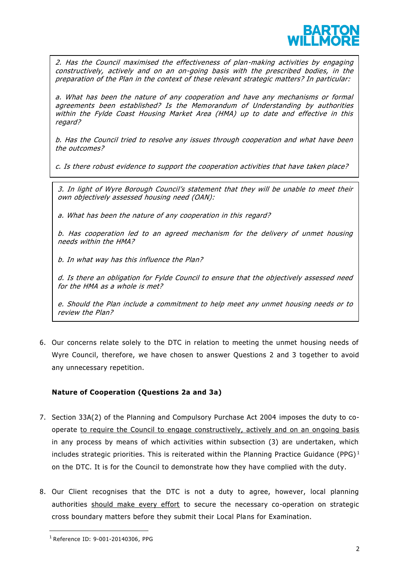

2. Has the Council maximised the effectiveness of plan-making activities by engaging constructively, actively and on an on-going basis with the prescribed bodies, in the preparation of the Plan in the context of these relevant strategic matters? In particular:

a. What has been the nature of any cooperation and have any mechanisms or formal agreements been established? Is the Memorandum of Understanding by authorities within the Fylde Coast Housing Market Area (HMA) up to date and effective in this regard?

b. Has the Council tried to resolve any issues through cooperation and what have been the outcomes?

c. Is there robust evidence to support the cooperation activities that have taken place?

3. In light of Wyre Borough Council's statement that they will be unable to meet their own objectively assessed housing need (OAN):

a. What has been the nature of any cooperation in this regard?

b. Has cooperation led to an agreed mechanism for the delivery of unmet housing needs within the HMA?

b. In what way has this influence the Plan?

d. Is there an obligation for Fylde Council to ensure that the objectively assessed need for the HMA as a whole is met?

e. Should the Plan include a commitment to help meet any unmet housing needs or to review the Plan?

6. Our concerns relate solely to the DTC in relation to meeting the unmet housing needs of Wyre Council, therefore, we have chosen to answer Questions 2 and 3 together to avoid any unnecessary repetition.

### **Nature of Cooperation (Questions 2a and 3a)**

- 7. Section 33A(2) of the Planning and Compulsory Purchase Act 2004 imposes the duty to cooperate to require the Council to engage constructively, actively and on an ongoing basis in any process by means of which activities within subsection (3) are undertaken, which includes strategic priorities. This is reiterated within the Planning Practice Guidance (PPG)<sup>1</sup> on the DTC. It is for the Council to demonstrate how they have complied with the duty.
- 8. Our Client recognises that the DTC is not a duty to agree, however, local planning authorities should make every effort to secure the necessary co-operation on strategic cross boundary matters before they submit their Local Plans for Examination.

 $\overline{a}$ 

<sup>1</sup> Reference ID: 9-001-20140306, PPG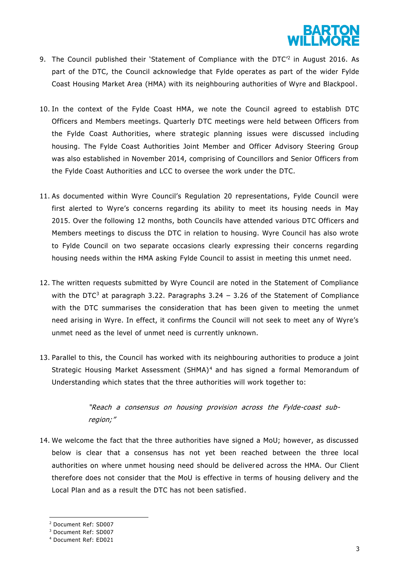

- 9. The Council published their 'Statement of Compliance with the DTC<sup>'2</sup> in August 2016. As part of the DTC, the Council acknowledge that Fylde operates as part of the wider Fylde Coast Housing Market Area (HMA) with its neighbouring authorities of Wyre and Blackpool.
- 10. In the context of the Fylde Coast HMA, we note the Council agreed to establish DTC Officers and Members meetings. Quarterly DTC meetings were held between Officers from the Fylde Coast Authorities, where strategic planning issues were discussed including housing. The Fylde Coast Authorities Joint Member and Officer Advisory Steering Group was also established in November 2014, comprising of Councillors and Senior Officers from the Fylde Coast Authorities and LCC to oversee the work under the DTC.
- 11. As documented within Wyre Council's Regulation 20 representations, Fylde Council were first alerted to Wyre's concerns regarding its ability to meet its housing needs in May 2015. Over the following 12 months, both Councils have attended various DTC Officers and Members meetings to discuss the DTC in relation to housing. Wyre Council has also wrote to Fylde Council on two separate occasions clearly expressing their concerns regarding housing needs within the HMA asking Fylde Council to assist in meeting this unmet need.
- 12. The written requests submitted by Wyre Council are noted in the Statement of Compliance with the DTC<sup>3</sup> at paragraph 3.22. Paragraphs  $3.24 - 3.26$  of the Statement of Compliance with the DTC summarises the consideration that has been given to meeting the unmet need arising in Wyre. In effect, it confirms the Council will not seek to meet any of Wyre's unmet need as the level of unmet need is currently unknown.
- 13. Parallel to this, the Council has worked with its neighbouring authorities to produce a joint Strategic Housing Market Assessment (SHMA)<sup>4</sup> and has signed a formal Memorandum of Understanding which states that the three authorities will work together to:

"Reach a consensus on housing provision across the Fylde-coast subregion;"

14. We welcome the fact that the three authorities have signed a MoU; however, as discussed below is clear that a consensus has not yet been reached between the three local authorities on where unmet housing need should be delivered across the HMA. Our Client therefore does not consider that the MoU is effective in terms of housing delivery and the Local Plan and as a result the DTC has not been satisfied.

1

<sup>2</sup> Document Ref: SD007

<sup>3</sup> Document Ref: SD007

<sup>4</sup> Document Ref: ED021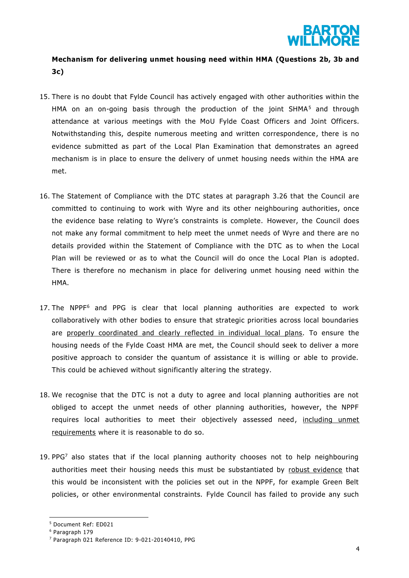

## **Mechanism for delivering unmet housing need within HMA (Questions 2b, 3b and 3c)**

- 15. There is no doubt that Fylde Council has actively engaged with other authorities within the HMA on an on-going basis through the production of the joint SHMA<sup>5</sup> and through attendance at various meetings with the MoU Fylde Coast Officers and Joint Officers. Notwithstanding this, despite numerous meeting and written correspondence, there is no evidence submitted as part of the Local Plan Examination that demonstrates an agreed mechanism is in place to ensure the delivery of unmet housing needs within the HMA are met.
- 16. The Statement of Compliance with the DTC states at paragraph 3.26 that the Council are committed to continuing to work with Wyre and its other neighbouring authorities, once the evidence base relating to Wyre's constraints is complete. However, the Council does not make any formal commitment to help meet the unmet needs of Wyre and there are no details provided within the Statement of Compliance with the DTC as to when the Local Plan will be reviewed or as to what the Council will do once the Local Plan is adopted. There is therefore no mechanism in place for delivering unmet housing need within the HMA.
- 17. The  $NPPF<sup>6</sup>$  and PPG is clear that local planning authorities are expected to work collaboratively with other bodies to ensure that strategic priorities across local boundaries are properly coordinated and clearly reflected in individual local plans. To ensure the housing needs of the Fylde Coast HMA are met, the Council should seek to deliver a more positive approach to consider the quantum of assistance it is willing or able to provide. This could be achieved without significantly altering the strategy.
- 18. We recognise that the DTC is not a duty to agree and local planning authorities are not obliged to accept the unmet needs of other planning authorities, however, the NPPF requires local authorities to meet their objectively assessed need, including unmet requirements where it is reasonable to do so.
- 19. PP $G<sup>7</sup>$  also states that if the local planning authority chooses not to help neighbouring authorities meet their housing needs this must be substantiated by robust evidence that this would be inconsistent with the policies set out in the NPPF, for example Green Belt policies, or other environmental constraints. Fylde Council has failed to provide any such

1

<sup>5</sup> Document Ref: ED021

<sup>6</sup> Paragraph 179

<sup>7</sup> Paragraph 021 Reference ID: 9-021-20140410, PPG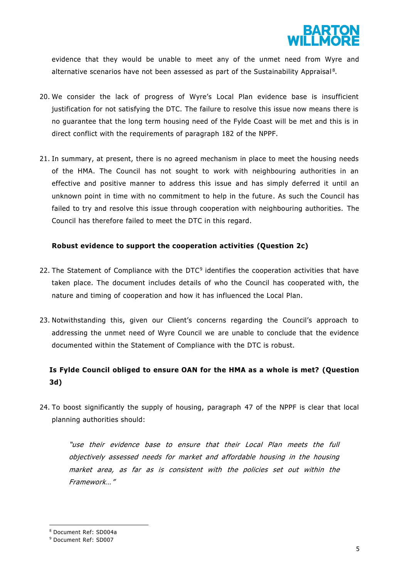

evidence that they would be unable to meet any of the unmet need from Wyre and alternative scenarios have not been assessed as part of the Sustainability Appraisal<sup>8</sup>.

- 20. We consider the lack of progress of Wyre's Local Plan evidence base is insufficient justification for not satisfying the DTC. The failure to resolve this issue now means there is no guarantee that the long term housing need of the Fylde Coast will be met and this is in direct conflict with the requirements of paragraph 182 of the NPPF.
- 21. In summary, at present, there is no agreed mechanism in place to meet the housing needs of the HMA. The Council has not sought to work with neighbouring authorities in an effective and positive manner to address this issue and has simply deferred it until an unknown point in time with no commitment to help in the future. As such the Council has failed to try and resolve this issue through cooperation with neighbouring authorities. The Council has therefore failed to meet the DTC in this regard.

### **Robust evidence to support the cooperation activities (Question 2c)**

- 22. The Statement of Compliance with the DTC<sup>9</sup> identifies the cooperation activities that have taken place. The document includes details of who the Council has cooperated with, the nature and timing of cooperation and how it has influenced the Local Plan.
- 23. Notwithstanding this, given our Client's concerns regarding the Council's approach to addressing the unmet need of Wyre Council we are unable to conclude that the evidence documented within the Statement of Compliance with the DTC is robust.

### **Is Fylde Council obliged to ensure OAN for the HMA as a whole is met? (Question 3d)**

24. To boost significantly the supply of housing, paragraph 47 of the NPPF is clear that local planning authorities should:

"use their evidence base to ensure that their Local Plan meets the full objectively assessed needs for market and affordable housing in the housing market area, as far as is consistent with the policies set out within the Framework…"

**.** 

<sup>8</sup> Document Ref: SD004a

<sup>9</sup> Document Ref: SD007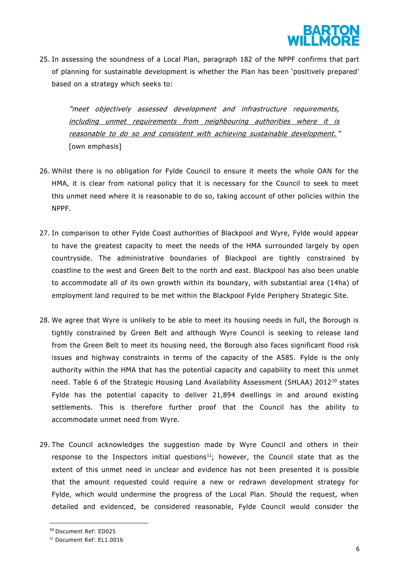

25. In assessing the soundness of a Local Plan, paragraph 182 of the NPPF confirms that part of planning for sustainable development is whether the Plan has been 'positively prepared' based on a strategy which seeks to:

"meet objectively assessed development and infrastructure requirements, including unmet requirements from neighbouring authorities where it is reasonable to do so and consistent with achieving sustainable development. " [own emphasis]

- 26. Whilst there is no obligation for Fylde Council to ensure it meets the whole OAN for the HMA, it is clear from national policy that it is necessary for the Council to seek to meet this unmet need where it is reasonable to do so, taking account of other policies within the NPPF.
- 27. In comparison to other Fylde Coast authorities of Blackpool and Wyre, Fylde would appear to have the greatest capacity to meet the needs of the HMA surrounded largely by open countryside. The administrative boundaries of Blackpool are tightly constrained by coastline to the west and Green Belt to the north and east. Blackpool has also been unable to accommodate all of its own growth within its boundary, with substantial area (14ha) of employment land required to be met within the Blackpool Fylde Periphery Strategic Site.
- 28. We agree that Wyre is unlikely to be able to meet its housing needs in full, the Borough is tightly constrained by Green Belt and although Wyre Council is seeking to release land from the Green Belt to meet its housing need, the Borough also faces significant flood risk issues and highway constraints in terms of the capacity of the A585. Fylde is the only authority within the HMA that has the potential capacity and capability to meet this unmet need. Table 6 of the Strategic Housing Land Availability Assessment (SHLAA) 2012<sup>10</sup> states Fylde has the potential capacity to deliver 21,894 dwellings in and around existing settlements. This is therefore further proof that the Council has the ability to accommodate unmet need from Wyre.
- 29. The Council acknowledges the suggestion made by Wyre Council and others in their response to the Inspectors initial questions<sup>11</sup>; however, the Council state that as the extent of this unmet need in unclear and evidence has not been presented it is possible that the amount requested could require a new or redrawn development strategy for Fylde, which would undermine the progress of the Local Plan. Should the request, when detailed and evidenced, be considered reasonable, Fylde Council would consider the

**.** 

<sup>10</sup> Document Ref: ED025

<sup>11</sup> Document Ref: EL1.001b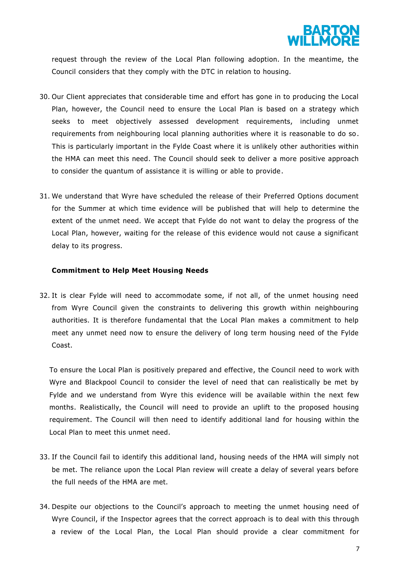

request through the review of the Local Plan following adoption. In the meantime, the Council considers that they comply with the DTC in relation to housing.

- 30. Our Client appreciates that considerable time and effort has gone in to producing the Local Plan, however, the Council need to ensure the Local Plan is based on a strategy which seeks to meet objectively assessed development requirements, including unmet requirements from neighbouring local planning authorities where it is reasonable to do so . This is particularly important in the Fylde Coast where it is unlikely other authorities within the HMA can meet this need. The Council should seek to deliver a more positive approach to consider the quantum of assistance it is willing or able to provide .
- 31. We understand that Wyre have scheduled the release of their Preferred Options document for the Summer at which time evidence will be published that will help to determine the extent of the unmet need. We accept that Fylde do not want to delay the progress of the Local Plan, however, waiting for the release of this evidence would not cause a significant delay to its progress.

#### **Commitment to Help Meet Housing Needs**

32. It is clear Fylde will need to accommodate some, if not all, of the unmet housing need from Wyre Council given the constraints to delivering this growth within neighbouring authorities. It is therefore fundamental that the Local Plan makes a commitment to help meet any unmet need now to ensure the delivery of long term housing need of the Fylde Coast.

To ensure the Local Plan is positively prepared and effective, the Council need to work with Wyre and Blackpool Council to consider the level of need that can realistically be met by Fylde and we understand from Wyre this evidence will be available within the next few months. Realistically, the Council will need to provide an uplift to the proposed housing requirement. The Council will then need to identify additional land for housing within the Local Plan to meet this unmet need.

- 33. If the Council fail to identify this additional land, housing needs of the HMA will simply not be met. The reliance upon the Local Plan review will create a delay of several years before the full needs of the HMA are met.
- 34. Despite our objections to the Council's approach to meeting the unmet housing need of Wyre Council, if the Inspector agrees that the correct approach is to deal with this through a review of the Local Plan, the Local Plan should provide a clear commitment for